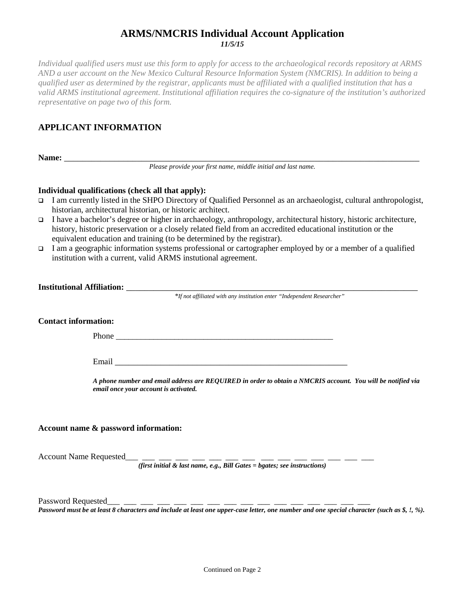# **ARMS/NMCRIS Individual Account Application** *11/5/15*

*Individual qualified users must use this form to apply for access to the archaeological records repository at ARMS AND a user account on the New Mexico Cultural Resource Information System (NMCRIS). In addition to being a qualified user as determined by the registrar, applicants must be affiliated with a qualified institution that has a valid ARMS institutional agreement. Institutional affiliation requires the co-signature of the institution's authorized representative on page two of this form.* 

# **APPLICANT INFORMATION**

**Name:** \_\_\_\_\_\_\_\_\_\_\_\_\_\_\_\_\_\_\_\_\_\_\_\_\_\_\_\_\_\_\_\_\_\_\_\_\_\_\_\_\_\_\_\_\_\_\_\_\_\_\_\_\_\_\_\_\_\_\_\_\_\_\_\_\_\_\_\_\_\_\_\_\_\_\_\_\_\_

*Please provide your first name, middle initial and last name.*

#### **Individual qualifications (check all that apply):**

- I am currently listed in the SHPO Directory of Qualified Personnel as an archaeologist, cultural anthropologist, historian, architectural historian, or historic architect.
- I have a bachelor's degree or higher in archaeology, anthropology, architectural history, historic architecture, history, historic preservation or a closely related field from an accredited educational institution or the equivalent education and training (to be determined by the registrar).
- I am a geographic information systems professional or cartographer employed by or a member of a qualified institution with a current, valid ARMS instutional agreement.

| <b>Institutional Affiliation:</b> |                                                                        |
|-----------------------------------|------------------------------------------------------------------------|
|                                   | *If not affiliated with any institution enter "Independent Researcher" |

#### **Contact information:**

Phone  $\blacksquare$ 

Email \_\_\_\_\_\_\_\_\_\_\_\_\_\_\_\_\_\_\_\_\_\_\_\_\_\_\_\_\_\_\_\_\_\_\_\_\_\_\_\_\_\_\_\_\_\_\_\_\_\_\_

*A phone number and email address are REQUIRED in order to obtain a NMCRIS account. You will be notified via email once your account is activated.*

#### **Account name & password information:**

Account Name Requested

*(first initial & last name, e.g., Bill Gates = bgates; see instructions)*

Password Requested\_\_\_ \_

*Password must be at least 8 characters and include at least one upper-case letter, one number and one special character (such as \$, !, %).*